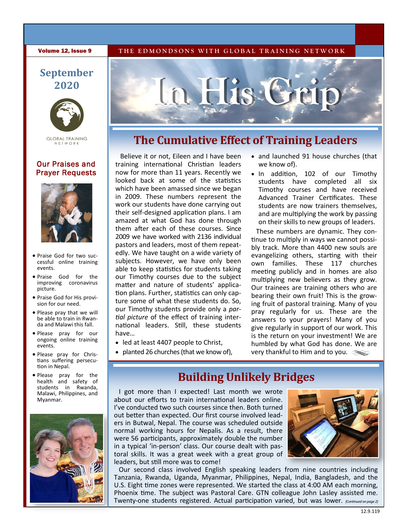**Volume 12, Issue 9** THE EDMONDSONS WITH GLOBAL TRAINING NETWORK

## **September 2020**



**GLOBAL TRAINING** NETWORK

### Our Praises and Prayer Requests



- Praise God for two successful online training events.
- Praise God for the improving coronavirus picture.
- Praise God for His provision for our need.
- Please pray that we will be able to train in Rwanda and Malawi this fall.
- Please pray for our ongoing online training events.
- Please pray for Christians suffering persecution in Nepal.
- Please pray for the health and safety of students in Rwanda, Malawi, Philippines, and Myanmar.





# **The Cumulative Effect of Training Leaders**

Believe it or not, Eileen and I have been training international Christian leaders now for more than 11 years. Recently we looked back at some of the statistics which have been amassed since we began in 2009. These numbers represent the work our students have done carrying out their self-designed application plans. I am amazed at what God has done through them after each of these courses. Since 2009 we have worked with 2136 individual pastors and leaders, most of them repeatedly. We have taught on a wide variety of subjects. However, we have only been able to keep statistics for students taking our Timothy courses due to the subject matter and nature of students' application plans. Further, statistics can only capture some of what these students do. So, our Timothy students provide only a *partial picture* of the effect of training international leaders. Still, these students have…

- led at least 4407 people to Christ,
- planted 26 churches (that we know of),

#### • and launched 91 house churches (that we know of).

• In addition, 102 of our Timothy students have completed all six Timothy courses and have received Advanced Trainer Certificates. These students are now trainers themselves, and are multiplying the work by passing on their skills to new groups of leaders.

These numbers are dynamic. They continue to multiply in ways we cannot possibly track. More than 4400 new souls are evangelizing others, starting with their own families. These 117 churches meeting publicly and in homes are also multiplying new believers as they grow. Our trainees are training others who are bearing their own fruit! This is the growing fruit of pastoral training. Many of you pray regularly for us. These are the answers to your prayers! Many of you give regularly in support of our work. This is the return on your investment! We are humbled by what God has done. We are very thankful to Him and to you.

# **Building Unlikely Bridges**

I got more than I expected! Last month we wrote about our efforts to train international leaders online. I've conducted two such courses since then. Both turned out better than expected. Our first course involved leaders in Butwal, Nepal. The course was scheduled outside normal working hours for Nepalis. As a result, there were 56 participants, approximately double the number in a typical 'in-person' class. Our course dealt with pastoral skills. It was a great week with a great group of leaders, but still more was to come!



Our second class involved English speaking leaders from nine countries including Tanzania, Rwanda, Uganda, Myanmar, Philippines, Nepal, India, Bangladesh, and the U.S. Eight time zones were represented. We started the class at 4:00 AM each morning, Phoenix time. The subject was Pastoral Care. GTN colleague John Lasley assisted me. Twenty-one students registered. Actual participation varied, but was lower. *(Continued on page 2)*